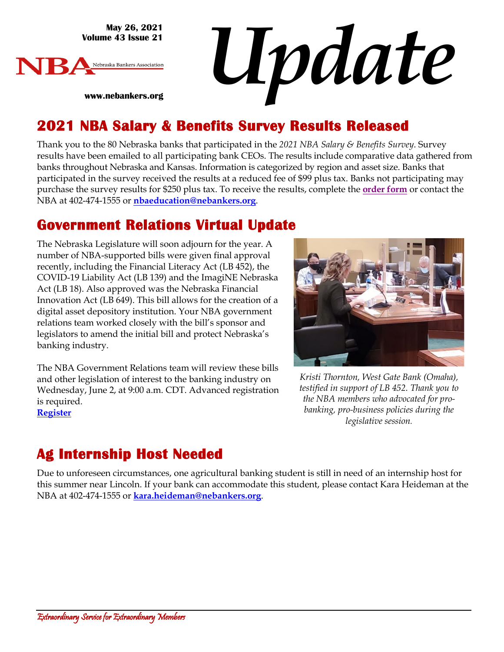**May 26, 2021 Volume 43 Issue 21**

**www.nebankers.org**



*Update*

#### **2021 NBA Salary & Benefits Survey Results Released**

Thank you to the 80 Nebraska banks that participated in the *2021 NBA Salary & Benefits Survey*. Survey results have been emailed to all participating bank CEOs. The results include comparative data gathered from banks throughout Nebraska and Kansas. Information is categorized by region and asset size. Banks that participated in the survey received the results at a reduced fee of \$99 plus tax. Banks not participating may purchase the survey results for \$250 plus tax. To receive the results, complete the **[order form](https://web.nebankers.org/External/WCPages/WCWebContent/WebContentPage.aspx?ContentID=1965)** or contact the NBA at 402-474-1555 or **[nbaeducation@nebankers.org](mailto:nbaeducation@nebankers.org)**.

#### **Government Relations Virtual Update**

The Nebraska Legislature will soon adjourn for the year. A number of NBA-supported bills were given final approval recently, including the Financial Literacy Act (LB 452), the COVID-19 Liability Act (LB 139) and the ImagiNE Nebraska Act (LB 18). Also approved was the Nebraska Financial Innovation Act (LB 649). This bill allows for the creation of a digital asset depository institution. Your NBA government relations team worked closely with the bill's sponsor and legislators to amend the initial bill and protect Nebraska's banking industry.

The NBA Government Relations team will review these bills and other legislation of interest to the banking industry on Wednesday, June 2, at 9:00 a.m. CDT. Advanced registration is required. **[Register](https://us02web.zoom.us/j/84333727213?pwd=SEpCa3F6OWh2N3kzaFlmRVFmYXBCUT09)**



*Kristi Thornton, West Gate Bank (Omaha), testified in support of LB 452. Thank you to the NBA members who advocated for probanking, pro-business policies during the legislative session.*

# **Ag Internship Host Needed**

Due to unforeseen circumstances, one agricultural banking student is still in need of an internship host for this summer near Lincoln. If your bank can accommodate this student, please contact Kara Heideman at the NBA at 402-474-1555 or **kara.heideman@nebankers.org**.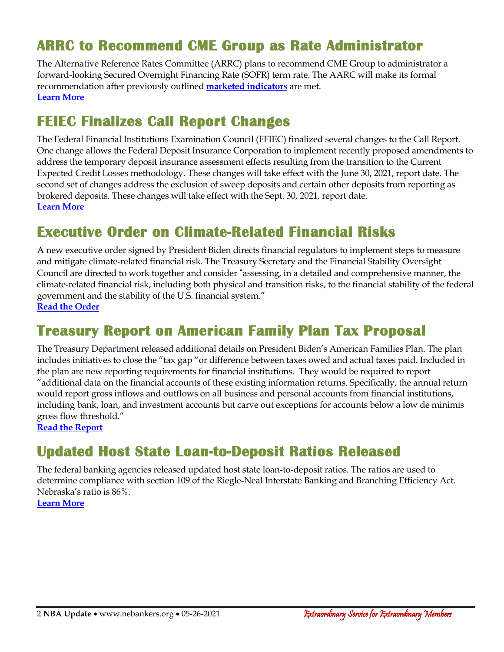#### **ARRC to Recommend CME Group as Rate Administrator**

The Alternative Reference Rates Committee (ARRC) plans to recommend CME Group to administrator a forward-looking Secured Overnight Financing Rate (SOFR) term rate. The AARC will make its formal recommendation after previously outlined **[marketed indicators](https://www.newyorkfed.org/medialibrary/Microsites/arrc/files/2021/20210506-term-rate-indicators-press-release)** are met. **[Learn More](https://www.newyorkfed.org/medialibrary/Microsites/arrc/files/2021/20210521-ARRC-Press-Release-Term-Rate-RFP.pdf)**

#### **FEIEC Finalizes Call Report Changes**

The Federal Financial Institutions Examination Council (FFIEC) finalized several changes to the Call Report. One change allows the Federal Deposit Insurance Corporation to implement recently proposed amendments to address the temporary deposit insurance assessment effects resulting from the transition to the Current Expected Credit Losses methodology. These changes will take effect with the June 30, 2021, report date. The second set of changes address the exclusion of sweep deposits and certain other deposits from reporting as brokered deposits. These changes will take effect with the Sept. 30, 2021, report date. **[Learn More](https://www.govinfo.gov/content/pkg/FR-2021-05-24/pdf/2021-10853.pdf)**

#### **Executive Order on Climate-Related Financial Risks**

A new executive order signed by President Biden directs financial regulators to implement steps to measure and mitigate climate-related financial risk. The Treasury Secretary and the Financial Stability Oversight Council are directed to work together and consider "assessing, in a detailed and comprehensive manner, the climate-related financial risk, including both physical and transition risks, to the financial stability of the federal government and the stability of the U.S. financial system." **[Read the Order](https://www.whitehouse.gov/briefing-room/presidential-actions/2021/05/20/executive-order-on-climate-related-financial-risk/)**

#### **Treasury Report on American Family Plan Tax Proposal**

The Treasury Department released additional details on President Biden's American Families Plan. The plan includes initiatives to close the "tax gap "or difference between taxes owed and actual taxes paid. Included in the plan are new reporting requirements for financial institutions. They would be required to report "additional data on the financial accounts of these existing information returns. Specifically, the annual return would report gross inflows and outflows on all business and personal accounts from financial institutions, including bank, loan, and investment accounts but carve out exceptions for accounts below a low de minimis gross flow threshold."

**[Read the Report](https://home.treasury.gov/system/files/136/The-American-Families-Plan-Tax-Compliance-Agenda.pdf)**

## **Updated Host State Loan-to-Deposit Ratios Released**

The federal banking agencies released updated host state loan-to-deposit ratios. The ratios are used to determine compliance with section 109 of the Riegle-Neal Interstate Banking and Branching Efficiency Act. Nebraska's ratio is 86%.

**[Learn More](https://www.fdic.gov/news/press-releases/2021/pr21047a.pdf)**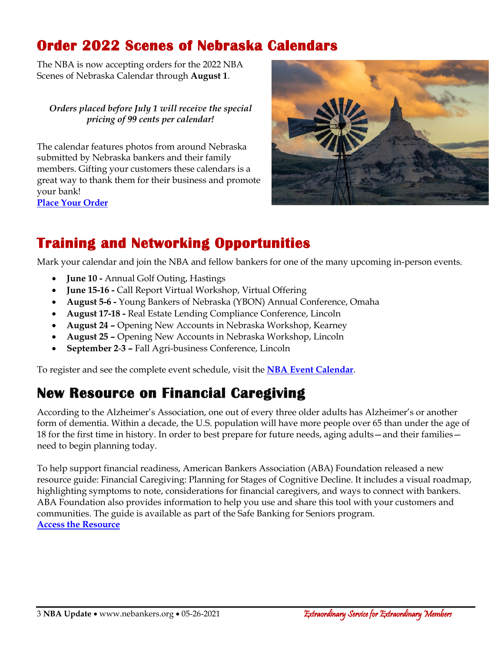## **Order 2022 Scenes of Nebraska Calendars**

The NBA is now accepting orders for the 2022 NBA Scenes of Nebraska Calendar through **August 1**.

*Orders placed before July 1 will receive the special pricing of 99 cents per calendar!*

The calendar features photos from around Nebraska submitted by Nebraska bankers and their family members. Gifting your customers these calendars is a great way to thank them for their business and promote your bank! **[Place Your Order](https://www.nebankers.org/calendars.html)**



# **Training and Networking Opportunities**

Mark your calendar and join the NBA and fellow bankers for one of the many upcoming in-person events.

- **June 10 -** Annual Golf Outing, Hastings
- **June 15-16 -** Call Report Virtual Workshop, Virtual Offering
- **August 5-6 -** Young Bankers of Nebraska (YBON) Annual Conference, Omaha
- **August 17-18 -** Real Estate Lending Compliance Conference, Lincoln
- **August 24 –** Opening New Accounts in Nebraska Workshop, Kearney
- **August 25 –** Opening New Accounts in Nebraska Workshop, Lincoln
- **September 2**-**3 –** Fall Agri-business Conference, Lincoln

To register and see the complete event schedule, visit the **[NBA Event Calendar](https://web.nebankers.org/events)**.

## **New Resource on Financial Caregiving**

According to the Alzheimer's Association, one out of every three older adults has Alzheimer's or another form of dementia. Within a decade, the U.S. population will have more people over 65 than under the age of 18 for the first time in history. In order to best prepare for future needs, aging adults—and their families need to begin planning today.

To help support financial readiness, American Bankers Association (ABA) Foundation released a new resource guide: Financial Caregiving: Planning for Stages of Cognitive Decline. It includes a visual roadmap, highlighting symptoms to note, considerations for financial caregivers, and ways to connect with bankers. ABA Foundation also provides information to help you use and share this tool with your customers and communities. The guide is available as part of the Safe Banking for Seniors program. **[Access the Resource](https://www.aba.com/advocacy/community-programs/safe-banking-for-seniors)**